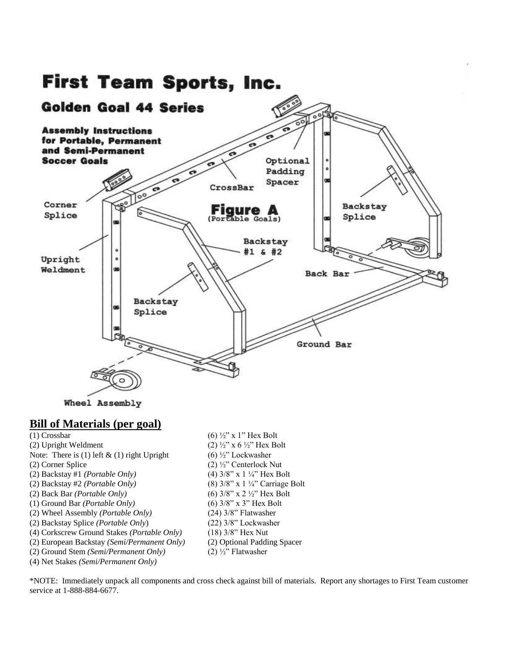

# **Bill of Materials (per goal)**

(2) Upright Weldment (2)  $\frac{1}{2}$   $\frac{1}{2}$  x 6  $\frac{1}{2}$  Hex Bolt Note: There is (1) left  $\&$  (1) right Upright (6)  $\frac{1}{2}$  Lockwasher (2) Corner Splice (2) ½" Centerlock Nut (2) Backstay #1 *(Portable Only)* (4) 3/8" x 1 ¼" Hex Bolt (2) Backstay #2 *(Portable Only)* (8) 3/8" x 1 ¼" Carriage Bolt (2) Back Bar *(Portable Only)* (6) 3/8" x 2 ½" Hex Bolt (1) Ground Bar *(Portable Only)* (6) 3/8" x 3" Hex Bolt (2) Wheel Assembly *(Portable Only)* (24) 3/8" Flatwasher (2) Backstay Splice *(Portable Only*) (22) 3/8" Lockwasher (4) Corkscrew Ground Stakes *(Portable Only)* (18) 3/8" Hex Nut (2) European Backstay *(Semi/Permanent Only)* (2) Optional Padding Spacer (2) Ground Stem *(Semi/Permanent Only)* (2) ½" Flatwasher

(4) Net Stakes *(Semi/Permanent Only)*

(1) Crossbar  $(6)$   $\frac{1}{2}$ " x 1" Hex Bolt

\*NOTE: Immediately unpack all components and cross check against bill of materials. Report any shortages to First Team customer service at 1-888-884-6677.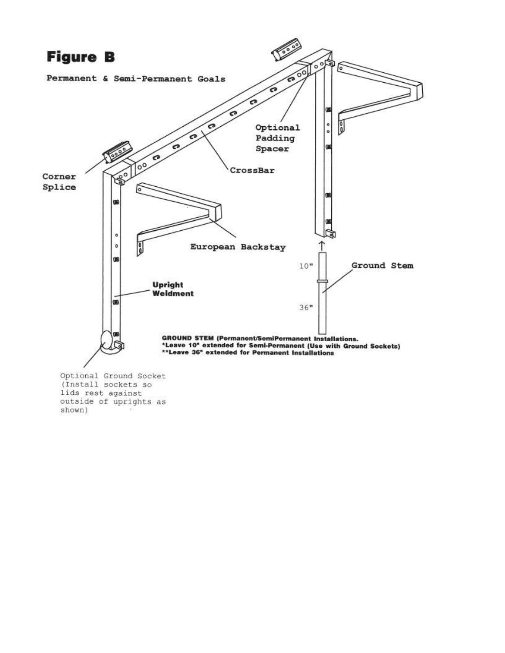

lids rest against outside of uprights as shown)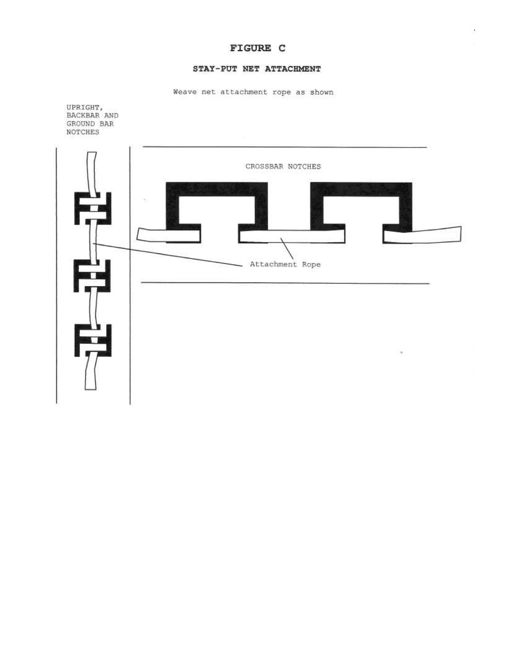# FIGURE C

## STAY-PUT NET ATTACHMENT

Weave net attachment rope as shown



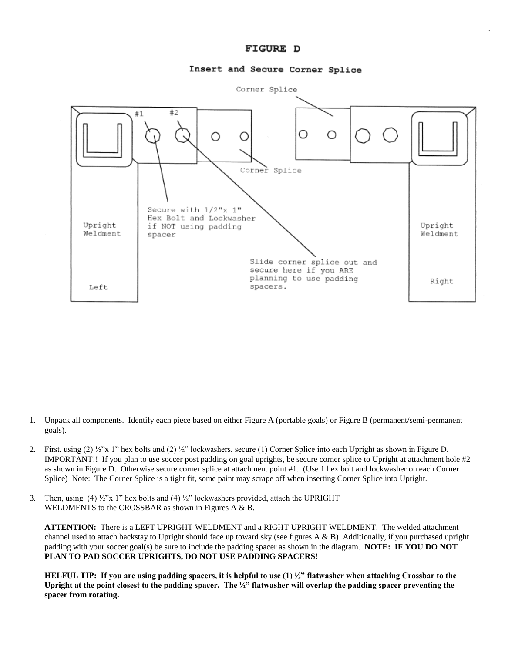## FIGURE D

### Insert and Secure Corner Splice



- 1. Unpack all components. Identify each piece based on either Figure A (portable goals) or Figure B (permanent/semi-permanent goals).
- 2. First, using  $(2) \frac{1}{2}$  x 1" hex bolts and  $(2) \frac{1}{2}$ " lockwashers, secure (1) Corner Splice into each Upright as shown in Figure D. IMPORTANT!! If you plan to use soccer post padding on goal uprights, be secure corner splice to Upright at attachment hole #2 as shown in Figure D. Otherwise secure corner splice at attachment point #1. (Use 1 hex bolt and lockwasher on each Corner Splice) Note: The Corner Splice is a tight fit, some paint may scrape off when inserting Corner Splice into Upright.
- 3. Then, using (4)  $\frac{1}{2}$ "x 1" hex bolts and (4)  $\frac{1}{2}$ " lockwashers provided, attach the UPRIGHT WELDMENTS to the CROSSBAR as shown in Figures A & B.

**ATTENTION:** There is a LEFT UPRIGHT WELDMENT and a RIGHT UPRIGHT WELDMENT. The welded attachment channel used to attach backstay to Upright should face up toward sky (see figures  $A \& B$ ) Additionally, if you purchased upright padding with your soccer goal(s) be sure to include the padding spacer as shown in the diagram. **NOTE: IF YOU DO NOT PLAN TO PAD SOCCER UPRIGHTS, DO NOT USE PADDING SPACERS!**

**HELFUL TIP: If you are using padding spacers, it is helpful to use (1) ½" flatwasher when attaching Crossbar to the Upright at the point closest to the padding spacer. The ½" flatwasher will overlap the padding spacer preventing the spacer from rotating.**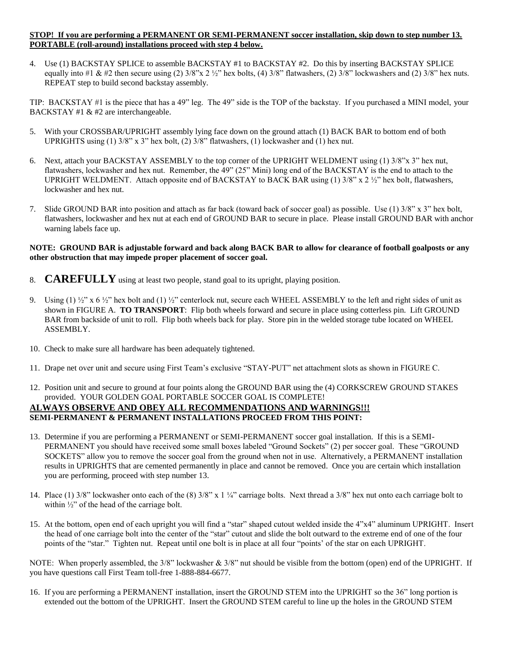#### **STOP! If you are performing a PERMANENT OR SEMI-PERMANENT soccer installation, skip down to step number 13. PORTABLE (roll-around) installations proceed with step 4 below.**

4. Use (1) BACKSTAY SPLICE to assemble BACKSTAY #1 to BACKSTAY #2. Do this by inserting BACKSTAY SPLICE equally into #1 & #2 then secure using (2)  $3/8$ " $x$  2  $\frac{1}{2}$ " hex bolts, (4)  $3/8$ " flatwashers, (2)  $3/8$ " lockwashers and (2)  $3/8$ " hex nuts. REPEAT step to build second backstay assembly.

TIP: BACKSTAY #1 is the piece that has a 49" leg. The 49" side is the TOP of the backstay. If you purchased a MINI model, your BACKSTAY #1 & #2 are interchangeable.

- 5. With your CROSSBAR/UPRIGHT assembly lying face down on the ground attach (1) BACK BAR to bottom end of both UPRIGHTS using (1) 3/8" x 3" hex bolt, (2) 3/8" flatwashers, (1) lockwasher and (1) hex nut.
- 6. Next, attach your BACKSTAY ASSEMBLY to the top corner of the UPRIGHT WELDMENT using (1) 3/8"x 3" hex nut, flatwashers, lockwasher and hex nut. Remember, the 49" (25" Mini) long end of the BACKSTAY is the end to attach to the UPRIGHT WELDMENT. Attach opposite end of BACKSTAY to BACK BAR using (1)  $3/8$ " x  $2\frac{1}{2}$ " hex bolt, flatwashers, lockwasher and hex nut.
- 7. Slide GROUND BAR into position and attach as far back (toward back of soccer goal) as possible. Use (1) 3/8" x 3" hex bolt, flatwashers, lockwasher and hex nut at each end of GROUND BAR to secure in place. Please install GROUND BAR with anchor warning labels face up.

#### **NOTE: GROUND BAR is adjustable forward and back along BACK BAR to allow for clearance of football goalposts or any other obstruction that may impede proper placement of soccer goal.**

- 8. **CAREFULLY** using at least two people, stand goal to its upright, playing position.
- 9. Using (1)  $\frac{1}{2}$  x 6  $\frac{1}{2}$  hex bolt and (1)  $\frac{1}{2}$  centerlock nut, secure each WHEEL ASSEMBLY to the left and right sides of unit as shown in FIGURE A. **TO TRANSPORT**: Flip both wheels forward and secure in place using cotterless pin. Lift GROUND BAR from backside of unit to roll. Flip both wheels back for play. Store pin in the welded storage tube located on WHEEL ASSEMBLY.
- 10. Check to make sure all hardware has been adequately tightened.
- 11. Drape net over unit and secure using First Team's exclusive "STAY-PUT" net attachment slots as shown in FIGURE C.
- 12. Position unit and secure to ground at four points along the GROUND BAR using the (4) CORKSCREW GROUND STAKES provided. YOUR GOLDEN GOAL PORTABLE SOCCER GOAL IS COMPLETE! **ALWAYS OBSERVE AND OBEY ALL RECOMMENDATIONS AND WARNINGS!!! SEMI-PERMANENT & PERMANENT INSTALLATIONS PROCEED FROM THIS POINT:**
- 13. Determine if you are performing a PERMANENT or SEMI-PERMANENT soccer goal installation. If this is a SEMI-PERMANENT you should have received some small boxes labeled "Ground Sockets" (2) per soccer goal. These "GROUND SOCKETS" allow you to remove the soccer goal from the ground when not in use. Alternatively, a PERMANENT installation results in UPRIGHTS that are cemented permanently in place and cannot be removed. Once you are certain which installation you are performing, proceed with step number 13.
- 14. Place (1) 3/8" lockwasher onto each of the (8) 3/8" x 1 ¼" carriage bolts. Next thread a 3/8" hex nut onto each carriage bolt to within ½" of the head of the carriage bolt.
- 15. At the bottom, open end of each upright you will find a "star" shaped cutout welded inside the 4"x4" aluminum UPRIGHT. Insert the head of one carriage bolt into the center of the "star" cutout and slide the bolt outward to the extreme end of one of the four points of the "star." Tighten nut. Repeat until one bolt is in place at all four "points' of the star on each UPRIGHT.

NOTE: When properly assembled, the  $3/8$ " lockwasher  $\&$  3/8" nut should be visible from the bottom (open) end of the UPRIGHT. If you have questions call First Team toll-free 1-888-884-6677.

16. If you are performing a PERMANENT installation, insert the GROUND STEM into the UPRIGHT so the 36" long portion is extended out the bottom of the UPRIGHT. Insert the GROUND STEM careful to line up the holes in the GROUND STEM